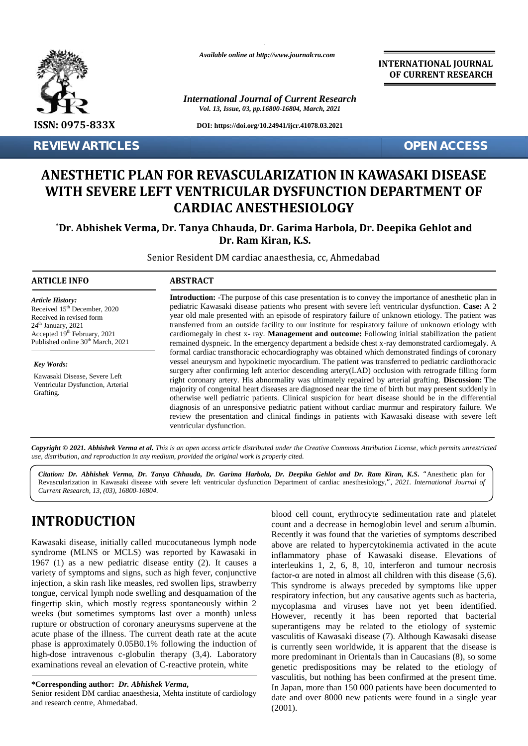

**REVIEW ARTICLES OPEN ACCESS**

*Available online at http://www.journalcra.com*

*International Journal of Current Research Vol. 13, Issue, 03, pp.16800-16804, March, 2021*

**DOI: https://doi.org/10.24941/ijcr.41078.03.2021**

**INTERNATIONAL JOURNAL OF CURRENT RESEARCH**

# **ANESTHETIC PLAN FOR REVASCULARIZATION IN KAWASAKI DISEASE ANESTHETIC WITH SEVERE LEFT VENTRICULAR DYSFUNCTION DEPARTMENT OF CARDIAC ANESTHESIOLOGY EXERCIVE ARTICLES<br>
ANESTHETIC PLAN FOR<br>
WITH SEVERE LEFT VEI<br>
CAI<br>
\*Dr. Abhishek Verma, Dr. Tar<br>
\*Dr. Abhishek Verma, Dr. Tar<br>
Senior Resident<br>
ARTICLE INFO<br>
Article History:<br>
Received 15<sup>th</sup> December, 2020<br>
Packing the V**

**\*Dr. Abhishek Verma, Dr. Tanya Chhauda, Dr. Garima Harbola, Dr. Deepika Gehlot and Tanya Chhauda, Dr. Deepika andDr. Ram Dr. Ram Kiran, K.S.**

Senior Resident DM cardiac anaesthesia, cc, Ahmedabad

#### **ARTICLE INFO ABSTRACT ARTICLE ABSTRACT**

*Article History: Article History:*  $\text{Received } 15^{\text{th}}$  December, 2020 Received 15 December, 2020<br>Received in revised form  $24<sup>th</sup>$  January,  $2021$ Accepted  $19<sup>th</sup>$  February, 2021 can Published online  $30<sup>th</sup>$  March, 2021

*Key Words:* Kawasaki Disease, Severe Left Ventricular Dysfunction, Arterial Grafting.

**Introduction: -**The purpose of this case presentation is to convey the importance of anesthetic plan in pediatric Kawasaki disease patients who present with severe left ventricular dysfunction. **Case:** A 2 year old male presented with an episode of respiratory failure of unknown etiology. The patient was transferred from an outside facility to our institute for respiratory failure of unknown etiology with cardiomegaly in chest x- ray. **Management and outcome:** Following initial stabilization the patient remained dyspneic. In the emergency department a bedside chest x-ray demonstrated cardiomegaly. A formal cardiac transthoracic echocardiography was obtained which demonstrated findings of coronary vessel aneurysm and hypokinetic myocardium. The patient was transferred to pediatric cardiothoracic surgery after confirming left anterior descending artery(LAD) occlusion with retrograde filling form right coronary artery. His abnormality was ultimately repaired by arterial grafting. **Discussion:** The majority of congenital heart diseases are diagnosed near the time of birth but may present suddenly in but otherwise well pediatric patients. Clinical suspicion for heart disease should be in the differential diagnosis of an unresponsive pediatric patient without cardiac murmur and respiratory failure. We otherwise well pediatric patients. Clinical suspicion for heart disease should be in the differential diagnosis of an unresponsive pediatric patient without cardiac murmur and respiratory failure. We review the presentatio ventricular dysfunction. ventricular dysfunction.**Introduction:** -The purpose of this case presentation is to convey the importance of anesthetic plan in pediatric Kawasaki disease patients who present with severe left ventricular dysfunction. **Case:** A 2 year old male p *S*<sup>an</sup> December, 2020 pediatric Kawasaki disease paitents Who present with severe left ventricular dysfunction. Case<br>  $\gamma$ -8021 year old male presented with an episode of respiratory failure of unknown etiology. The paite

**Copyright © 2021. Abhishek Verma et al.** This is an open access article distributed under the Creative Commons Attribution License, which permits unrestricted<br>use, distribution, and reproduction in any medium, provided th *use, distribution, and reproduction in any medium, provided the original work is properly cited.*

*Citation: Dr. Abhishek Verma, Dr. Tanya Chhauda, Dr. Garima Harbola, Dr. Deepika Gehlot and Dr. Ram Kiran, K.S***.** *"*Anesthetic plan for Revascularization in Kawasaki disease with severe left ventricular dysfunction Department of cardiac anesthesiology,*", 2021. International Journal of Current Research, 13, (03), 16800-16804.*

# **INTRODUCTION INTRODUCTION**

Kawasaki disease, initially called mucocutaneous lymph node syndrome (MLNS or MCLS) was reported by Kawasaki in 1967 (1) as a new pediatric disease entity (2). It causes a  $\epsilon$  intervariety of symptoms and signs, such as high fever, conjunctive injection, a skin rash like measles, red swollen lips, strawberry tongue, cervical lymph node swelling and desquamation of the resm fingertip skin, which mostly regress spontaneously within 2 weeks (but sometimes symptoms last over a month) unless rupture or obstruction of coronary aneurysms supervene at the acute phase of the illness. The current death rate at the acute phase is approximately 0.05B0.1% following the induction of high-dose intravenous c-globulin therapy (3,4). Laboratory examinations reveal an elevation of C-reactive protein, white Kawasaki disease, initially called mucocutaneous lymph node<br>syndrome (MLNS or MCLS) was reported by Kawasaki in<br>1967 (1) as a new pediatric disease entity (2). It causes a inte<br>variety of symptoms and signs, such as high injection, a skin rash like measles, red swollen lips, strawberry<br>tongue, cervical lymph node swelling and desquamation of the<br>fingertip skin, which mostly regress spontaneously within 2<br>weeks (but sometimes symptoms last

**\*Corresponding author:** *Dr. Abhishek Verma***, \*Corresponding** *Verma*

Senior resident DM cardiac anaesthesia, Mehta institute of cardiology and research centre, Ahmedabad.

blood cell count, erythrocyte sedimentation rate and platelet count and a decrease in hemoglobin level and serum albumin. Recently it was found that the varieties of symptoms described above are related to hypercytokinemia activated in the acute inflammatory phase of Kawasaki disease. Elevations of interleukins 1, 2, 6, 8, 10, interferon and tumour necrosis factor- are noted in almost all children with this disease (5,6). This syndrome is always preceded by symptoms like upper respiratory infection, but any causative agents such as bacteria, mycoplasma and viruses have not yet been identified. However, recently it has been reported that bacterial superantigens may be related to the etiology of systemic vasculitis of Kawasaki disease (7). Although Kawasaki disease is currently seen worldwide, it is apparent that the disease is more predominant in Orientals than in Caucasians (8), so some genetic predispositions may be related to the etiology of vasculitis, but nothing has been confirmed at the present time. In Japan, more than 150 000 patients have been documented to date and over 8000 new patients were found in a single year (2001). Resolved 127 boxsmids. 2020<br>
Resolved in revisable also associates the procedure and temperature and temperature interest in the state A2 of the state of the state of the state of the state of the state of the state of th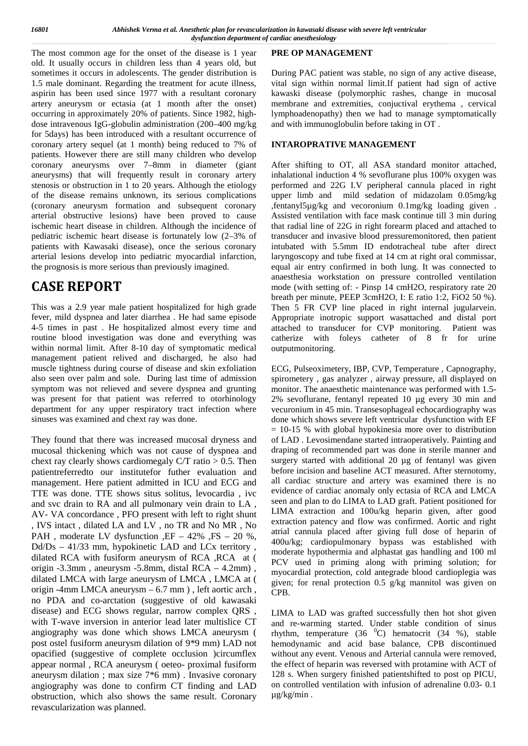The most common age for the onset of the disease is 1 year old. It usually occurs in children less than 4 years old, but sometimes it occurs in adolescents. The gender distribution is 1.5 male dominant. Regarding the treatment for acute illness, aspirin has been used since 1977 with a resultant coronary artery aneurysm or ectasia (at 1 month after the onset) occurring in approximately 20% of patients. Since 1982, high dose intravenous IgG-globulin administration (200–400 mg/kg for 5days) has been introduced with a resultant occurrence of coronary artery sequel (at 1 month) being reduced to 7% of patients. However there are still many children who develop coronary aneurysms over 7–8mm in diameter (giant aneurysms) that will frequently result in coronary artery stenosis or obstruction in 1 to 20 years. Although the etiology of the disease remains unknown, its serious complications (coronary aneurysm formation and subsequent coronary arterial obstructive lesions) have been proved to cause ischemic heart disease in children. Although the incidence of pediatric ischemic heart disease is fortunately low (2–3% of patients with Kawasaki disease), once the serious coronary arterial lesions develop into pediatric myocardial infarction, the prognosis is more serious than previously imagined.

# **CASE REPORT**

This was a 2.9 year male patient hospitalized for high grade fever, mild dyspnea and later diarrhea . He had same episode 4-5 times in past . He hospitalized almost every time and routine blood investigation was done and everything was within normal limit. After 8-10 day of symptomatic medical management patient relived and discharged, he also had muscle tightness during course of disease and skin exfoliation also seen over palm and sole. During last time of admission symptom was not relieved and severe dyspnea and grunting was present for that patient was referred to otorhinology department for any upper respiratory tract infection where sinuses was examined and chext ray was done.

They found that there was increased mucosal dryness and mucosal thickening which was not cause of dyspnea and chext ray clearly shows cardiomegaly C/T ratio  $> 0.5$ . Then patientreferredto our institutefor futher evaluation and management. Here patient admitted in ICU and ECG and TTE was done. TTE shows situs solitus, levocardia , ivc and svc drain to RA and all pulmonary vein drain to LA , AV- VA concordance , PFO present with left to right shunt , IVS intact , dilated LA and LV , no TR and No MR , No PAH, moderate LV dysfunction  $E - 42\%$ ,  $FS - 20\%$ , Dd/Ds – 41/33 mm, hypokinetic LAD and LCx territory , dilated RCA with fusiform aneurysm of RCA ,RCA at ( origin -3.3mm , aneurysm -5.8mm, distal RCA – 4.2mm) , dilated LMCA with large aneurysm of LMCA , LMCA at ( origin -4mm LMCA aneurysm – 6.7 mm ) , left aortic arch , no PDA and co-arctation (suggestive of old kawasaki disease) and ECG shows regular, narrow complex QRS , with T-wave inversion in anterior lead later multislice CT angiography was done which shows LMCA aneurysm ( post ostel fusiform aneurysm dilation of 9\*9 mm) LAD not opacified (suggestive of complete occlusion )circumflex appear normal , RCA aneurysm ( oeteo- proximal fusiform aneurysm dilation ; max size 7\*6 mm) . Invasive coronary angiography was done to confirm CT finding and LAD obstruction, which also shows the same result. Coronary revascularization was planned.

#### **PRE OP MANAGEMENT**

During PAC patient was stable, no sign of any active disease, vital sign within normal limit.If patient had sign of active kawaski disease (polymorphic rashes, change in mucosal membrane and extremities, conjuctival erythema , cervical lymphoadenopathy) then we had to manage symptomatically and with immunoglobulin before taking in OT .

### **INTAROPRATIVE MANAGEMENT**

After shifting to OT, all ASA standard monitor attached, inhalational induction 4 % sevoflurane plus 100% oxygen was performed and 22G I.V peripheral cannula placed in right upper limb and mild sedation of midazolam 0.05mg/kg ,fentanyl5µg/kg and vecoronium 0.1mg/kg loading given . Assisted ventilation with face mask continue till 3 min during that radial line of 22G in right forearm placed and attached to transducer and invasive blood pressuremonitored, then patient intubated with 5.5mm ID endotracheal tube after direct laryngoscopy and tube fixed at 14 cm at right oral commissar, equal air entry confirmed in both lung. It was connected to anaesthesia workstation on pressure controlled ventilation mode (with setting of: - Pinsp 14 cmH2O, respiratory rate 20 breath per minute, PEEP 3cmH2O, I: E ratio 1:2, FiO2 50 %). Then 5 FR CVP line placed in right internal jugularvein. Appropriate inotropic support wasattached and distal port attached to transducer for CVP monitoring. Patient was catherize with foleys catheter of 8 fr for urine outputmonitoring.

ECG, Pulseoximetery, IBP, CVP, Temperature , Capnography, spirometery , gas analyzer , airway pressure, all displayed on monitor. The anaesthetic maintenance was performed with 1.5- 2% sevoflurane, fentanyl repeated 10 µg every 30 min and vecuronium in 45 min. Transesophageal echocardiography was done which shows severe left ventricular dysfunction with EF  $= 10-15$  % with global hypokinesia more over to distribution of LAD . Levosimendane started intraoperatively. Painting and draping of recommended part was done in sterile manner and surgery started with additional 20 µg of fentanyl was given before incision and baseline ACT measured. After sternotomy, all cardiac structure and artery was examined there is no evidence of cardiac anomaly only ectasia of RCA and LMCA seen and plan to do LIMA to LAD graft. Patient positioned for LIMA extraction and 100u/kg heparin given, after good extraction patency and flow was confirmed. Aortic and right atrial cannula placed after giving full dose of heparin of 400u/kg; cardiopulmonary bypass was established with moderate hypothermia and alphastat gas handling and 100 ml PCV used in priming along with priming solution; for myocardial protection, cold antegrade blood cardioplegia was given; for renal protection 0.5 g/kg mannitol was given on CPB.

LIMA to LAD was grafted successfully then hot shot given and re-warming started. Under stable condition of sinus rhythm, temperature  $(36 \text{ °C})$  hematocrit  $(34 \text{ °W})$ , stable hemodynamic and acid base balance, CPB discontinued without any event. Venous and Arterial cannula were removed, the effect of heparin was reversed with protamine with ACT of 128 s. When surgery finished patientshifted to post op PICU, on controlled ventilation with infusion of adrenaline 0.03- 0.1 µg/kg/min .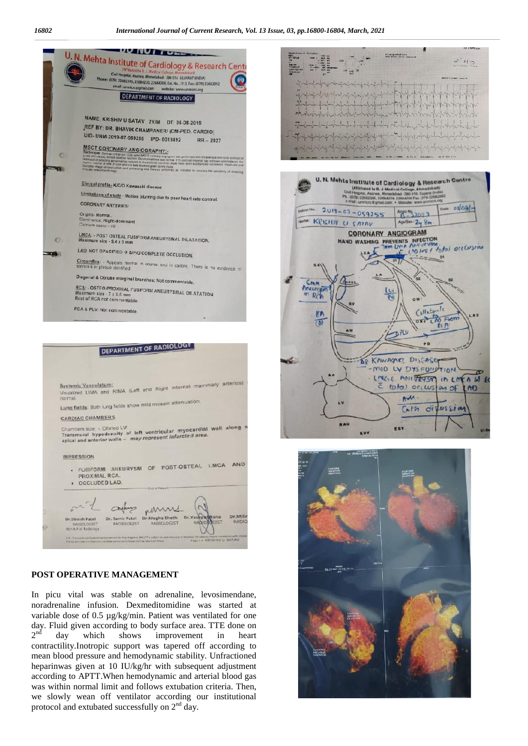



#### **POST OPERATIVE MANAGEMENT**

In picu vital was stable on adrenaline, levosimendane, noradrenaline infusion. Dexmeditomidine was started at variable dose of 0.5 µg/kg/min. Patient was ventilated for one day. Fluid given according to body surface area. TTE done on  $2<sup>nd</sup>$  day which shows improvement in heart day which shows improvement in heart contractility.Inotropic support was tapered off according to mean blood pressure and hemodynamic stability. Unfractioned heparinwas given at 10 IU/kg/hr with subsequent adjustment according to APTT.When hemodynamic and arterial blood gas was within normal limit and follows extubation criteria. Then, we slowly wean off ventilator according our institutional protocol and extubated successfully on  $2<sup>nd</sup>$  day.





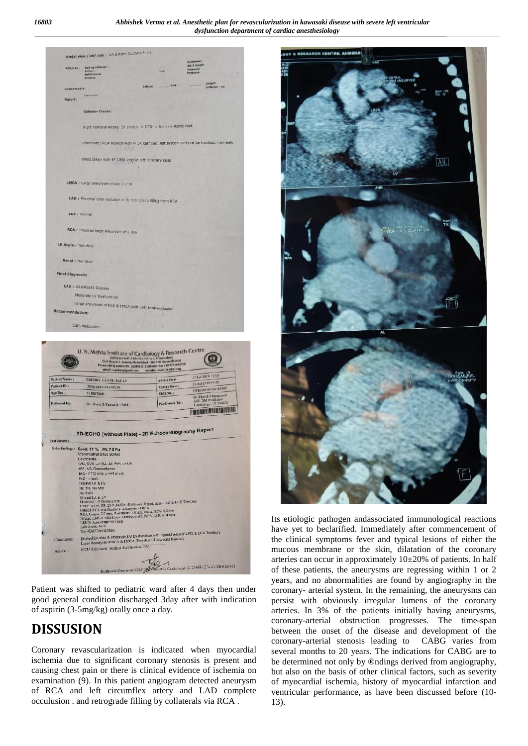| <b>PTCA/LAIL!</b>                                        | Gelding Catheler :                                                                                         |                                                               |                          | dia # langer<br><b>PHABLITE</b>                                                    |  |
|----------------------------------------------------------|------------------------------------------------------------------------------------------------------------|---------------------------------------------------------------|--------------------------|------------------------------------------------------------------------------------|--|
|                                                          | <b>Ballin</b><br>Ruftung :<br>Initaliare me                                                                |                                                               | <b>Here</b>              | <b><i><u><i>DYDNSLOW</i></u></i></b>                                               |  |
|                                                          | niem(s):                                                                                                   |                                                               | <b>Size</b>              | <b>Lemigilly</b>                                                                   |  |
| WALLCOMASTY I                                            |                                                                                                            | mathews:                                                      |                          | <b>Inflation - no</b>                                                              |  |
| <b>Report:</b>                                           | <b>Floore fames</b>                                                                                        |                                                               |                          |                                                                                    |  |
|                                                          | Catheter Course:                                                                                           |                                                               |                          |                                                                                    |  |
|                                                          |                                                                                                            |                                                               |                          |                                                                                    |  |
|                                                          | Right Famoral Artary: SF sheath -> DTA -> Arch -> Aortic root                                              |                                                               |                          |                                                                                    |  |
|                                                          |                                                                                                            |                                                               |                          |                                                                                    |  |
|                                                          |                                                                                                            |                                                               |                          | Procedure: RCA hooked with 4F 3R catholer, left system can not be hooked, non-sele |  |
|                                                          |                                                                                                            | 1538                                                          |                          |                                                                                    |  |
|                                                          | shoot taken with 4F LIMA kept in left coronary cusp.                                                       |                                                               |                          |                                                                                    |  |
|                                                          |                                                                                                            |                                                               |                          |                                                                                    |  |
|                                                          |                                                                                                            |                                                               |                          |                                                                                    |  |
|                                                          | LMCA : Large aneuryom of size 7 F1m                                                                        |                                                               |                          |                                                                                    |  |
|                                                          |                                                                                                            |                                                               |                          |                                                                                    |  |
|                                                          | LAD : Proximal total occlusion with intrograde filling from RCA                                            |                                                               |                          |                                                                                    |  |
|                                                          | <b>LCX</b> ± Normal                                                                                        |                                                               |                          |                                                                                    |  |
|                                                          |                                                                                                            |                                                               |                          |                                                                                    |  |
|                                                          | RCA : Proximal large aneury am of 6 mm                                                                     |                                                               |                          |                                                                                    |  |
|                                                          |                                                                                                            |                                                               |                          |                                                                                    |  |
| LV Angie J. Not done                                     |                                                                                                            |                                                               |                          |                                                                                    |  |
|                                                          |                                                                                                            |                                                               |                          |                                                                                    |  |
| Renal : Not done                                         |                                                                                                            |                                                               |                          |                                                                                    |  |
|                                                          |                                                                                                            |                                                               |                          |                                                                                    |  |
|                                                          |                                                                                                            |                                                               |                          |                                                                                    |  |
| Final Diagnosis:                                         |                                                                                                            |                                                               |                          |                                                                                    |  |
|                                                          | <b>CAD : KAWASAKI Disease</b>                                                                              |                                                               |                          |                                                                                    |  |
|                                                          | Moderate LV Dysfunction                                                                                    |                                                               |                          |                                                                                    |  |
| Recommendation:                                          | Large ansurysm of RCA 5 LMCA with LAD total occlusion<br>Cath discussion                                   |                                                               |                          |                                                                                    |  |
|                                                          |                                                                                                            |                                                               |                          |                                                                                    |  |
|                                                          | U. N. Mehta Institute of Cardiology & Research Centre                                                      |                                                               |                          |                                                                                    |  |
|                                                          | evail cremerogenations.                                                                                    | Phone: (075) 22601395, 2258422C, 22604200 Fax: (079) 32682072 | website www.iarrazor.org |                                                                                    |  |
|                                                          | <b>KRISHIV UMESH SATAV</b>                                                                                 |                                                               | <b>Advice Date:</b>      | 27-141-2019 11:19                                                                  |  |
|                                                          | UNN-2019-07-019755                                                                                         |                                                               | Report Date t            | 27-141-2019 15:42                                                                  |  |
|                                                          | 2y BuyMale                                                                                                 |                                                               | Visit No. :              | OFD/2010/07/0155488<br>Dr.Bhavik Champaneri                                        |  |
| Patient Name:<br>Patient ID:<br>Age/Sex:<br>Referred By: | Dr. Gosta 3 Tanna(G-17684)                                                                                 |                                                               | Performed By:            | (AP, DM Pardiate<br>Cardiologys (G-24663)                                          |  |
|                                                          |                                                                                                            |                                                               |                          | IN THE TRIANGLE PARTIES OF THE PARTIES OF THE VEHICLE PARTIES OF THE VEHICLE.      |  |
|                                                          |                                                                                                            |                                                               |                          |                                                                                    |  |
|                                                          |                                                                                                            |                                                               |                          |                                                                                    |  |
|                                                          | 2D-ECHO (without Plate) - 2D Echocardiography Report                                                       |                                                               |                          |                                                                                    |  |
|                                                          | Echo finding:: Spc2: 97 %, WL 7 2 Kg                                                                       |                                                               |                          |                                                                                    |  |
| <b>Test Revens</b>                                       | Visceroatrial Stus Sollus<br>Leupcarda                                                                     |                                                               |                          |                                                                                    |  |
|                                                          | IVC, SVC -> RA All PV's -> I A                                                                             |                                                               |                          |                                                                                    |  |
|                                                          | AV - VA Concordance<br>IAG - PFO with L-->R shunt                                                          |                                                               |                          |                                                                                    |  |
|                                                          | $WS - Fract$<br>Diated LA & LV                                                                             |                                                               |                          |                                                                                    |  |
|                                                          | No TR, No MK<br>No PAH                                                                                     |                                                               |                          |                                                                                    |  |
|                                                          | Dilated LA & LV                                                                                            |                                                               |                          |                                                                                    |  |
|                                                          | I VEI: 42%, FS: 20% DdPs: 41/33 mrs. Hypoking is LAD & LCX Temtory                                         |                                                               |                          |                                                                                    |  |
|                                                          | Dilmed RCA will Fusiform Assurysm of RCA<br>RCA Origia: 3.5 mm, Anearysm 3.8 mm, Dis a RCA 12 mm           |                                                               |                          |                                                                                    |  |
|                                                          | Di ated LMCA with Large Aneuryan of LMCA, LMCA-4 mm.<br>LMCA Aneceysant: 6. / mm<br>Left Aortic Arch       |                                                               |                          |                                                                                    |  |
|                                                          | No PDA/Coarctation.                                                                                        |                                                               |                          |                                                                                    |  |
| Chachasion: :                                            | Dilated LV size & Moderate LV Dysfunction with Hypokinesia of LAD & LCX Territory                          |                                                               |                          |                                                                                    |  |
| Advice: 1                                                | Large Anearyan of RCA & LMCA (Probable old cawasak) Disease)<br>PICU Admission, Medical Stabilization, CAG |                                                               |                          |                                                                                    |  |

Patient was shifted to pediatric ward after 4 days then under good general condition discharged 3day after with indication of aspirin (3-5mg/kg) orally once a day.

# **DISSUSION**

Coronary revascularization is indicated when myocardial ischemia due to significant coronary stenosis is present and causing chest pain or there is clinical evidence of ischemia on examination (9). In this patient angiogram detected aneurysm of RCA and left circumflex artery and LAD complete occulusion . and retrograde filling by collaterals via RCA .



Its etiologic pathogen andassociated immunological reactions have yet to beclarified. Immediately after commencement of the clinical symptoms fever and typical lesions of either the mucous membrane or the skin, dilatation of the coronary arteries can occur in approximately 10±20% of patients. In half of these patients, the aneurysms are regressing within 1 or 2 years, and no abnormalities are found by angiography in the coronary- arterial system. In the remaining, the aneurysms can persist with obviously irregular lumens of the coronary arteries. In 3% of the patients initially having aneurysms, coronary-arterial obstruction progresses. The time-span between the onset of the disease and development of the coronary-arterial stenosis leading to CABG varies from several months to 20 years. The indications for CABG are to be determined not only by ®ndings derived from angiography, but also on the basis of other clinical factors, such as severity of myocardial ischemia, history of myocardial infarction and ventricular performance, as have been discussed before (10- 13).